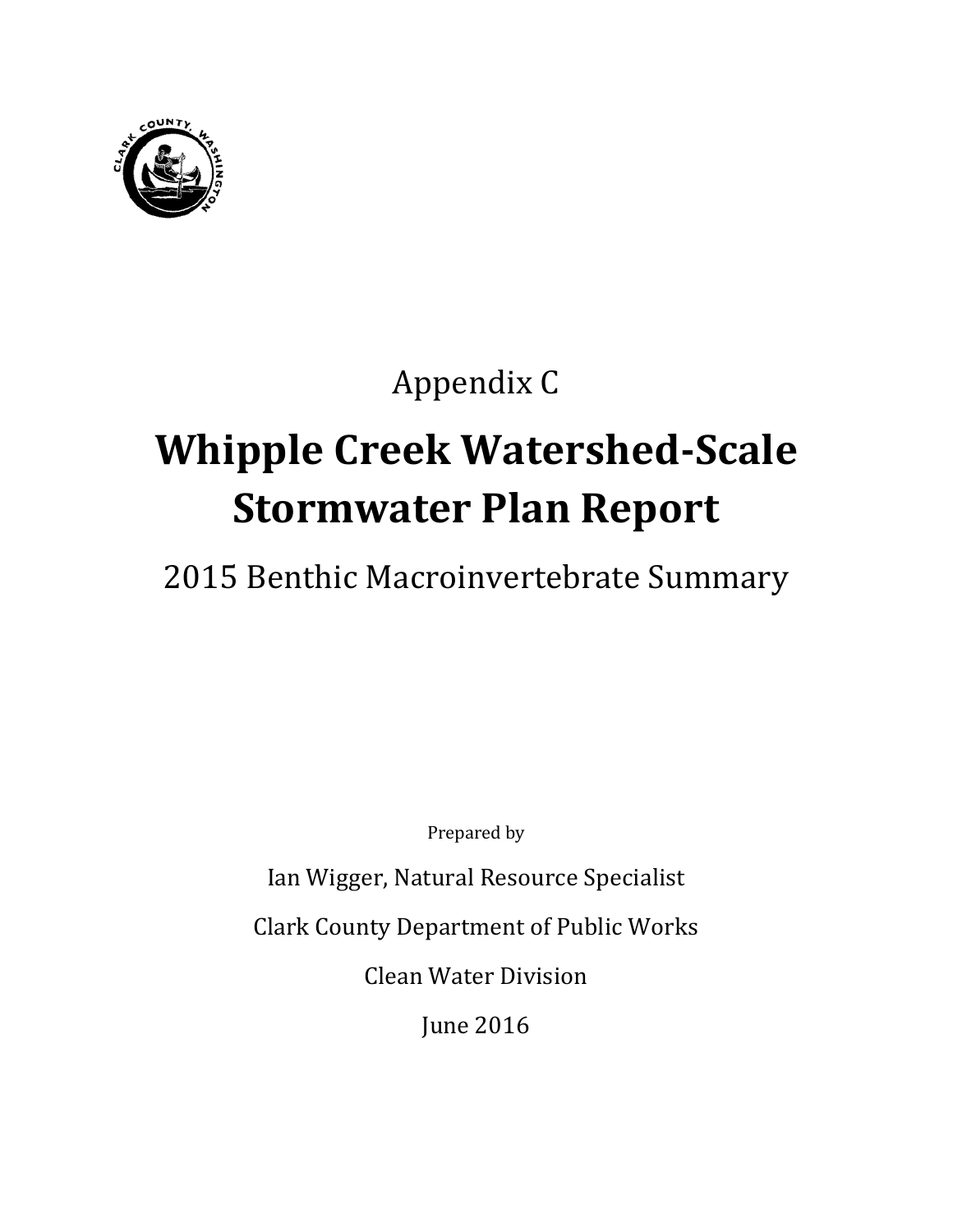

# Appendix C

# **Whipple Creek Watershed-Scale Stormwater Plan Report**

# 2015 Benthic Macroinvertebrate Summary

Prepared by

Ian Wigger, Natural Resource Specialist

Clark County Department of Public Works

Clean Water Division

June 2016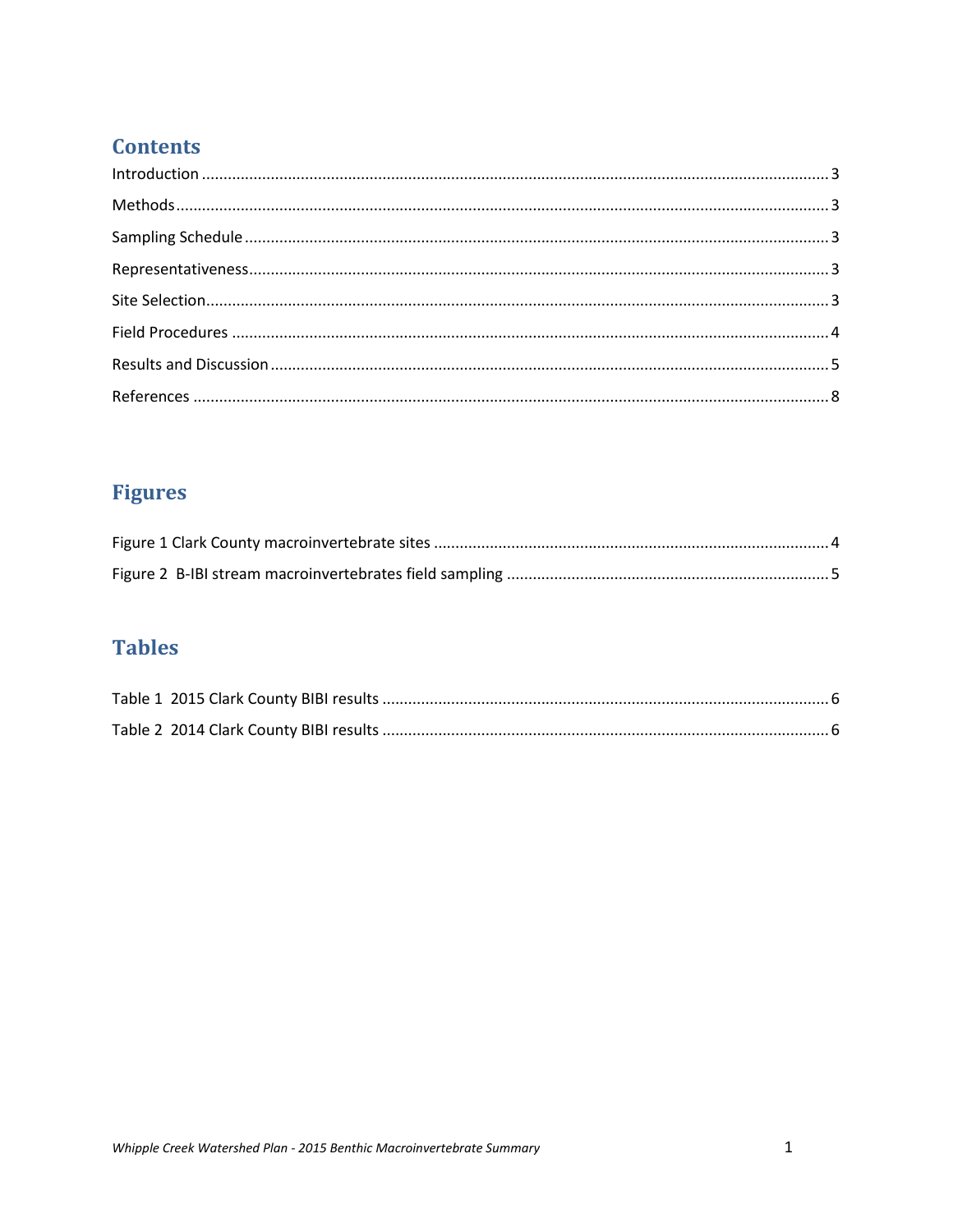# **Contents**

# **Figures**

# **Tables**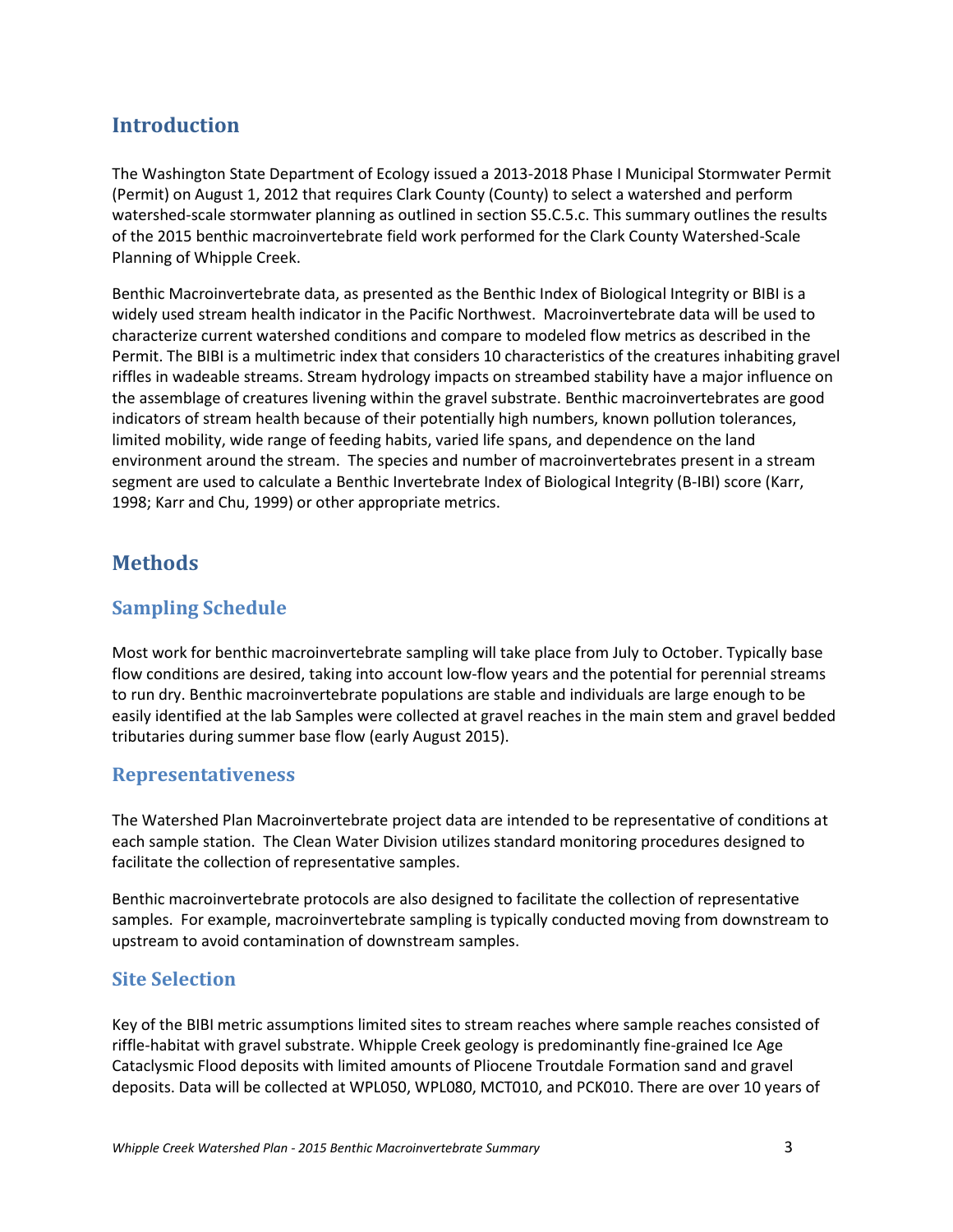# <span id="page-4-0"></span>**Introduction**

The Washington State Department of Ecology issued a 2013-2018 Phase I Municipal Stormwater Permit (Permit) on August 1, 2012 that requires Clark County (County) to select a watershed and perform watershed-scale stormwater planning as outlined in section S5.C.5.c. This summary outlines the results of the 2015 benthic macroinvertebrate field work performed for the Clark County Watershed-Scale Planning of Whipple Creek.

Benthic Macroinvertebrate data, as presented as the Benthic Index of Biological Integrity or BIBI is a widely used stream health indicator in the Pacific Northwest. Macroinvertebrate data will be used to characterize current watershed conditions and compare to modeled flow metrics as described in the Permit. The BIBI is a multimetric index that considers 10 characteristics of the creatures inhabiting gravel riffles in wadeable streams. Stream hydrology impacts on streambed stability have a major influence on the assemblage of creatures livening within the gravel substrate. Benthic macroinvertebrates are good indicators of stream health because of their potentially high numbers, known pollution tolerances, limited mobility, wide range of feeding habits, varied life spans, and dependence on the land environment around the stream. The species and number of macroinvertebrates present in a stream segment are used to calculate a Benthic Invertebrate Index of Biological Integrity (B-IBI) score (Karr, 1998; Karr and Chu, 1999) or other appropriate metrics.

## <span id="page-4-1"></span>**Methods**

#### <span id="page-4-2"></span>**Sampling Schedule**

Most work for benthic macroinvertebrate sampling will take place from July to October. Typically base flow conditions are desired, taking into account low-flow years and the potential for perennial streams to run dry. Benthic macroinvertebrate populations are stable and individuals are large enough to be easily identified at the lab Samples were collected at gravel reaches in the main stem and gravel bedded tributaries during summer base flow (early August 2015).

#### <span id="page-4-3"></span>**Representativeness**

The Watershed Plan Macroinvertebrate project data are intended to be representative of conditions at each sample station. The Clean Water Division utilizes standard monitoring procedures designed to facilitate the collection of representative samples.

Benthic macroinvertebrate protocols are also designed to facilitate the collection of representative samples. For example, macroinvertebrate sampling is typically conducted moving from downstream to upstream to avoid contamination of downstream samples.

#### <span id="page-4-4"></span>**Site Selection**

Key of the BIBI metric assumptions limited sites to stream reaches where sample reaches consisted of riffle-habitat with gravel substrate. Whipple Creek geology is predominantly fine-grained Ice Age Cataclysmic Flood deposits with limited amounts of Pliocene Troutdale Formation sand and gravel deposits. Data will be collected at WPL050, WPL080, MCT010, and PCK010. There are over 10 years of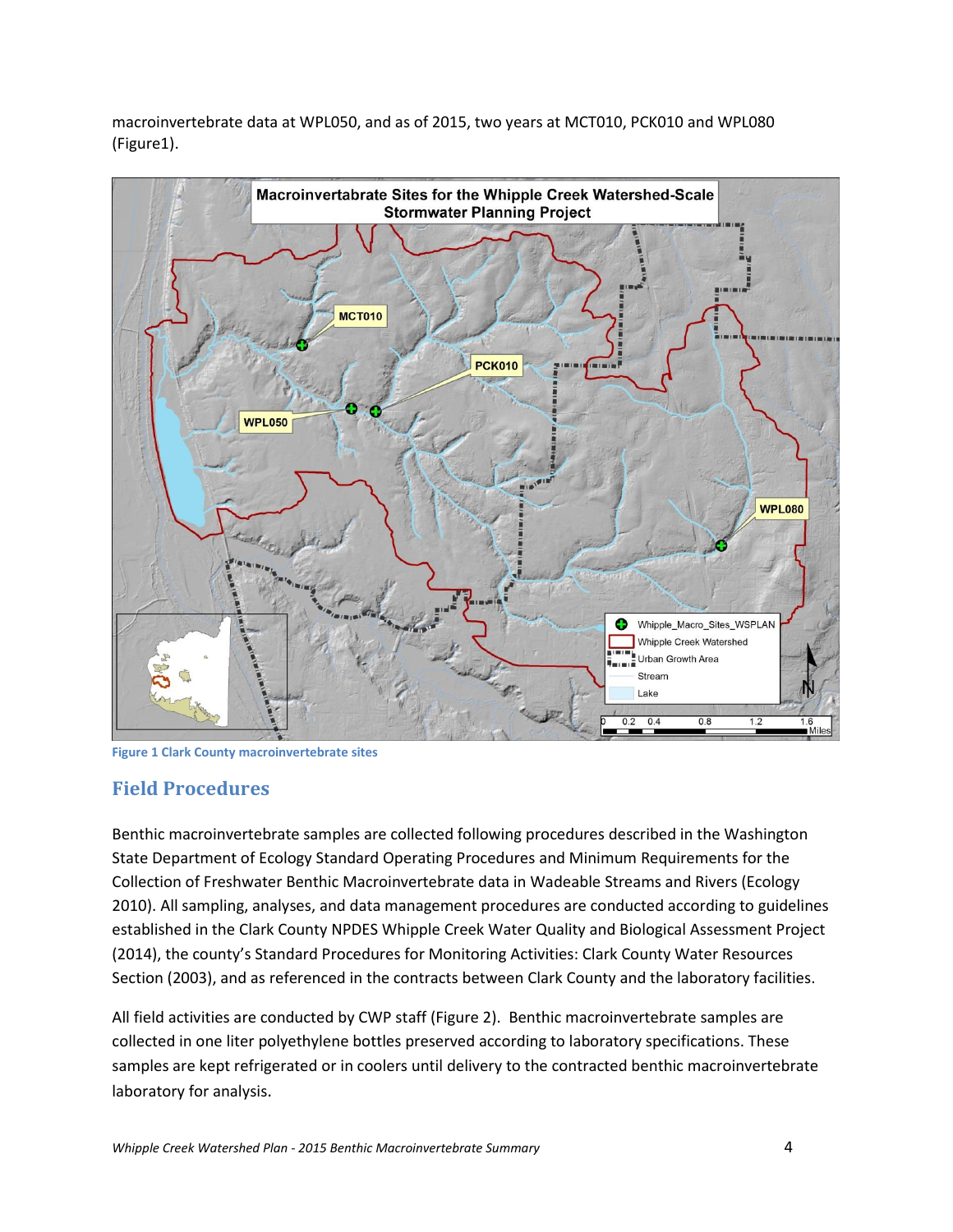macroinvertebrate data at WPL050, and as of 2015, two years at MCT010, PCK010 and WPL080 (Figure1).



<span id="page-5-1"></span>**Figure 1 Clark County macroinvertebrate sites**

#### <span id="page-5-0"></span>**Field Procedures**

Benthic macroinvertebrate samples are collected following procedures described in the Washington State Department of Ecology Standard Operating Procedures and Minimum Requirements for the Collection of Freshwater Benthic Macroinvertebrate data in Wadeable Streams and Rivers (Ecology 2010). All sampling, analyses, and data management procedures are conducted according to guidelines established in the Clark County NPDES Whipple Creek Water Quality and Biological Assessment Project (2014), the county's Standard Procedures for Monitoring Activities: Clark County Water Resources Section (2003), and as referenced in the contracts between Clark County and the laboratory facilities.

All field activities are conducted by CWP staff (Figure 2). Benthic macroinvertebrate samples are collected in one liter polyethylene bottles preserved according to laboratory specifications. These samples are kept refrigerated or in coolers until delivery to the contracted benthic macroinvertebrate laboratory for analysis.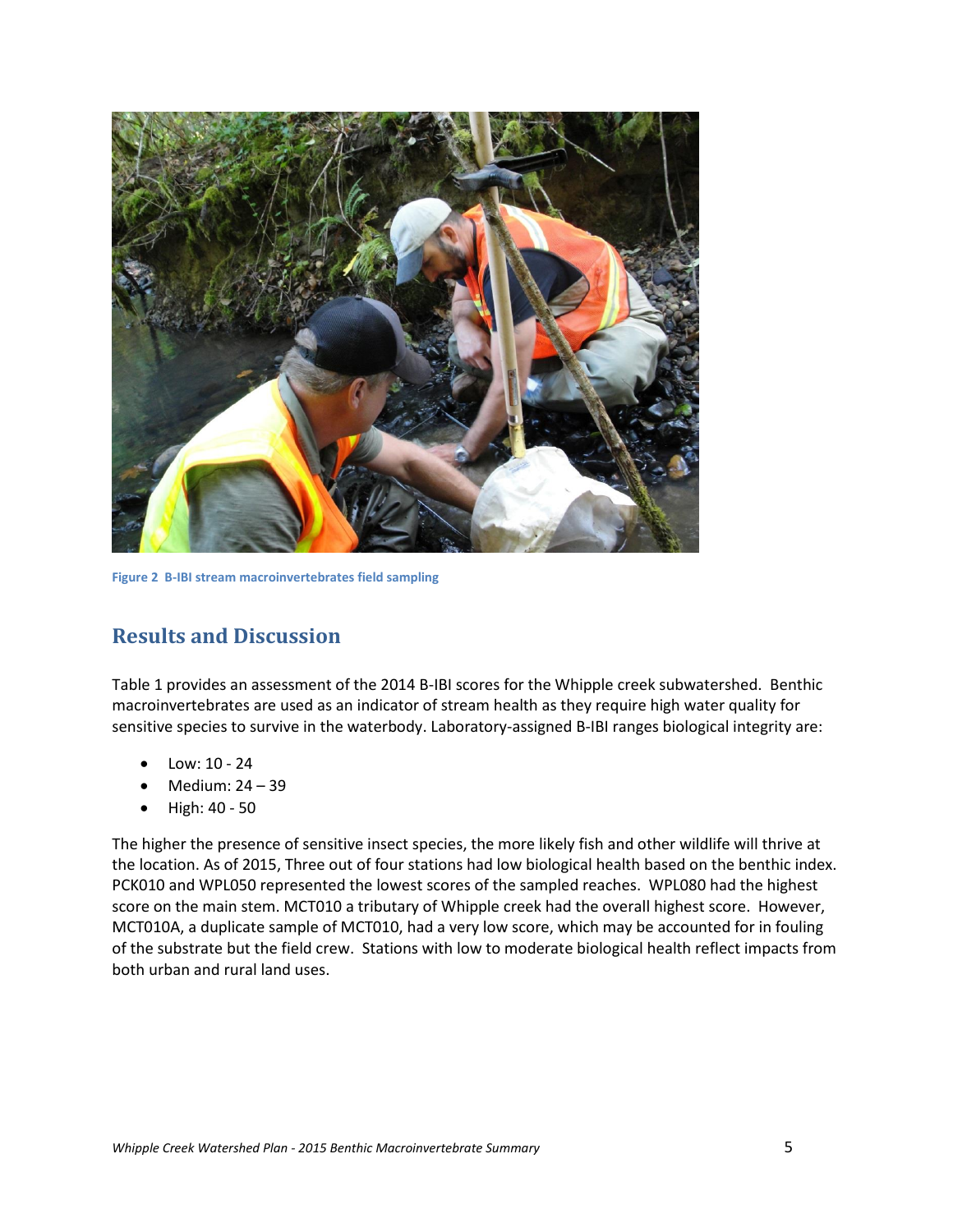

**Figure 2 B-IBI stream macroinvertebrates field sampling**

### <span id="page-6-1"></span><span id="page-6-0"></span>**Results and Discussion**

Table 1 provides an assessment of the 2014 B-IBI scores for the Whipple creek subwatershed. Benthic macroinvertebrates are used as an indicator of stream health as they require high water quality for sensitive species to survive in the waterbody. Laboratory-assigned B-IBI ranges biological integrity are:

- Low: 10 24
- Medium: 24 39
- High: 40 50

The higher the presence of sensitive insect species, the more likely fish and other wildlife will thrive at the location. As of 2015, Three out of four stations had low biological health based on the benthic index. PCK010 and WPL050 represented the lowest scores of the sampled reaches. WPL080 had the highest score on the main stem. MCT010 a tributary of Whipple creek had the overall highest score. However, MCT010A, a duplicate sample of MCT010, had a very low score, which may be accounted for in fouling of the substrate but the field crew. Stations with low to moderate biological health reflect impacts from both urban and rural land uses.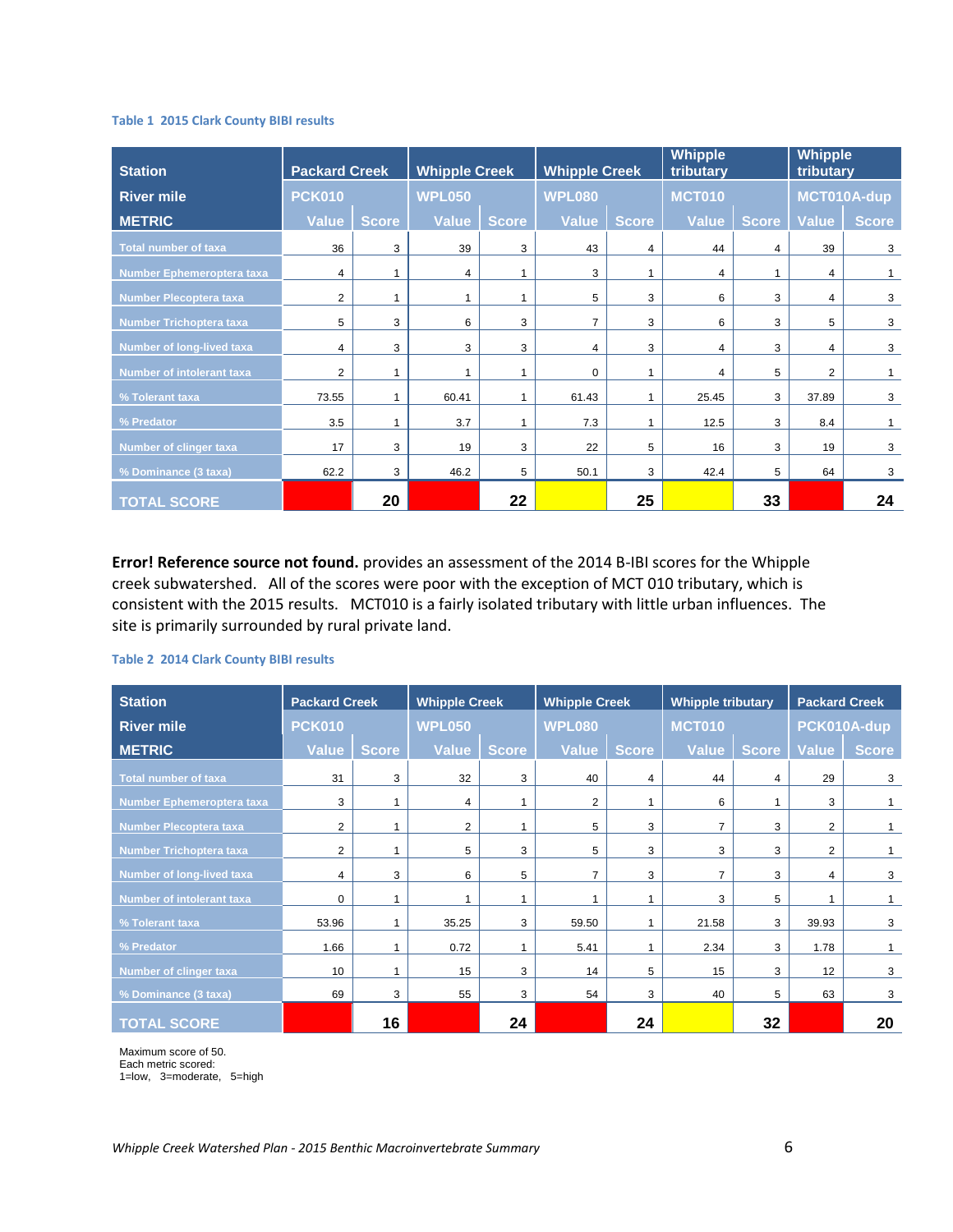#### <span id="page-7-0"></span>**Table 1 2015 Clark County BIBI results**

| <b>Station</b>                 | <b>Packard Creek</b> |              | <b>Whipple Creek</b> |              | <b>Whipple Creek</b> |              | Whipple<br>tributary |              | <b>Whipple</b><br>tributary |              |
|--------------------------------|----------------------|--------------|----------------------|--------------|----------------------|--------------|----------------------|--------------|-----------------------------|--------------|
| <b>River mile</b>              | <b>PCK010</b>        |              | WPL050               |              | <b>WPL080</b>        |              | <b>MCT010</b>        |              | MCT010A-dup                 |              |
| <b>METRIC</b>                  | Value                | <b>Score</b> | <b>Value</b>         | <b>Score</b> | <b>Value</b>         | <b>Score</b> | Value                | <b>Score</b> | Value                       | <b>Score</b> |
| <b>Total number of taxa</b>    | 36                   | 3            | 39                   | 3            | 43                   | 4            | 44                   | 4            | 39                          | 3            |
| Number Ephemeroptera taxa      | 4                    | 1            | 4                    |              | 3                    | 1            | 4                    |              | 4                           |              |
| Number Plecoptera taxa         | $\overline{2}$       | 1            |                      |              | 5                    | 3            | 6                    | 3            | 4                           | 3            |
| <b>Number Trichoptera taxa</b> | 5                    | 3            | 6                    | 3            | $\overline{7}$       | 3            | 6                    | 3            | 5                           | 3            |
| Number of long-lived taxa      | 4                    | 3            | 3                    | 3            | 4                    | 3            | 4                    | 3            | 4                           | 3            |
| Number of intolerant taxa      | 2                    | 1            |                      | 1            | $\Omega$             | 1            | 4                    | 5            | $\overline{2}$              | 1            |
| % Tolerant taxa                | 73.55                | 1            | 60.41                | 1            | 61.43                | 1            | 25.45                | 3            | 37.89                       | 3            |
| % Predator                     | 3.5                  | 1            | 3.7                  | 1            | 7.3                  | 1            | 12.5                 | 3            | 8.4                         | $\mathbf{1}$ |
| Number of clinger taxa         | 17                   | 3            | 19                   | 3            | 22                   | 5            | 16                   | 3            | 19                          | 3            |
| % Dominance (3 taxa)           | 62.2                 | 3            | 46.2                 | 5            | 50.1                 | 3            | 42.4                 | 5            | 64                          | 3            |
| <b>TOTAL SCORE</b>             |                      | 20           |                      | 22           |                      | 25           |                      | 33           |                             | 24           |

**Error! Reference source not found.** provides an assessment of the 2014 B-IBI scores for the Whipple creek subwatershed. All of the scores were poor with the exception of MCT 010 tributary, which is consistent with the 2015 results. MCT010 is a fairly isolated tributary with little urban influences. The site is primarily surrounded by rural private land.

#### <span id="page-7-1"></span>**Table 2 2014 Clark County BIBI results**

| <b>Station</b>              | <b>Packard Creek</b> |              | <b>Whipple Creek</b> |              | <b>Whipple Creek</b> |                | <b>Whipple tributary</b> |              | <b>Packard Creek</b> |              |
|-----------------------------|----------------------|--------------|----------------------|--------------|----------------------|----------------|--------------------------|--------------|----------------------|--------------|
| <b>River mile</b>           | <b>PCK010</b>        |              | <b>WPL050</b>        |              | <b>WPL080</b>        |                | <b>MCT010</b>            |              | PCK010A-dup          |              |
| <b>METRIC</b>               | <b>Value</b>         | <b>Score</b> | Value                | <b>Score</b> | Value                | <b>Score</b>   | Value                    | <b>Score</b> | <b>Value</b>         | <b>Score</b> |
| <b>Total number of taxa</b> | 31                   | 3            | 32                   | 3            | 40                   | $\overline{4}$ | 44                       | 4            | 29                   | 3            |
| Number Ephemeroptera taxa   | 3                    |              | 4                    |              | 2                    |                | 6                        |              | 3                    | 1            |
| Number Plecoptera taxa      | 2                    |              | 2                    |              | 5                    | 3              | 7                        | 3            | $\overline{2}$       |              |
| Number Trichoptera taxa     | $\overline{2}$       |              | 5                    | 3            | 5                    | 3              | 3                        | 3            | $\overline{2}$       | 1            |
| Number of long-lived taxa   | 4                    | 3            | 6                    | 5            | $\overline{7}$       | 3              | $\overline{7}$           | 3            | 4                    | 3            |
| Number of intolerant taxa   | $\Omega$             |              |                      |              |                      |                | 3                        | 5            |                      |              |
| % Tolerant taxa             | 53.96                |              | 35.25                | 3            | 59.50                |                | 21.58                    | 3            | 39.93                | 3            |
| % Predator                  | 1.66                 |              | 0.72                 |              | 5.41                 |                | 2.34                     | 3            | 1.78                 |              |
| Number of clinger taxa      | 10                   |              | 15                   | 3            | 14                   | 5              | 15                       | 3            | 12                   | 3            |
| % Dominance (3 taxa)        | 69                   | 3            | 55                   | 3            | 54                   | 3              | 40                       | 5            | 63                   | 3            |
| <b>TOTAL SCORE</b>          |                      | 16           |                      | 24           |                      | 24             |                          | 32           |                      | 20           |

Maximum score of 50.

Each metric scored:

1=low, 3=moderate, 5=high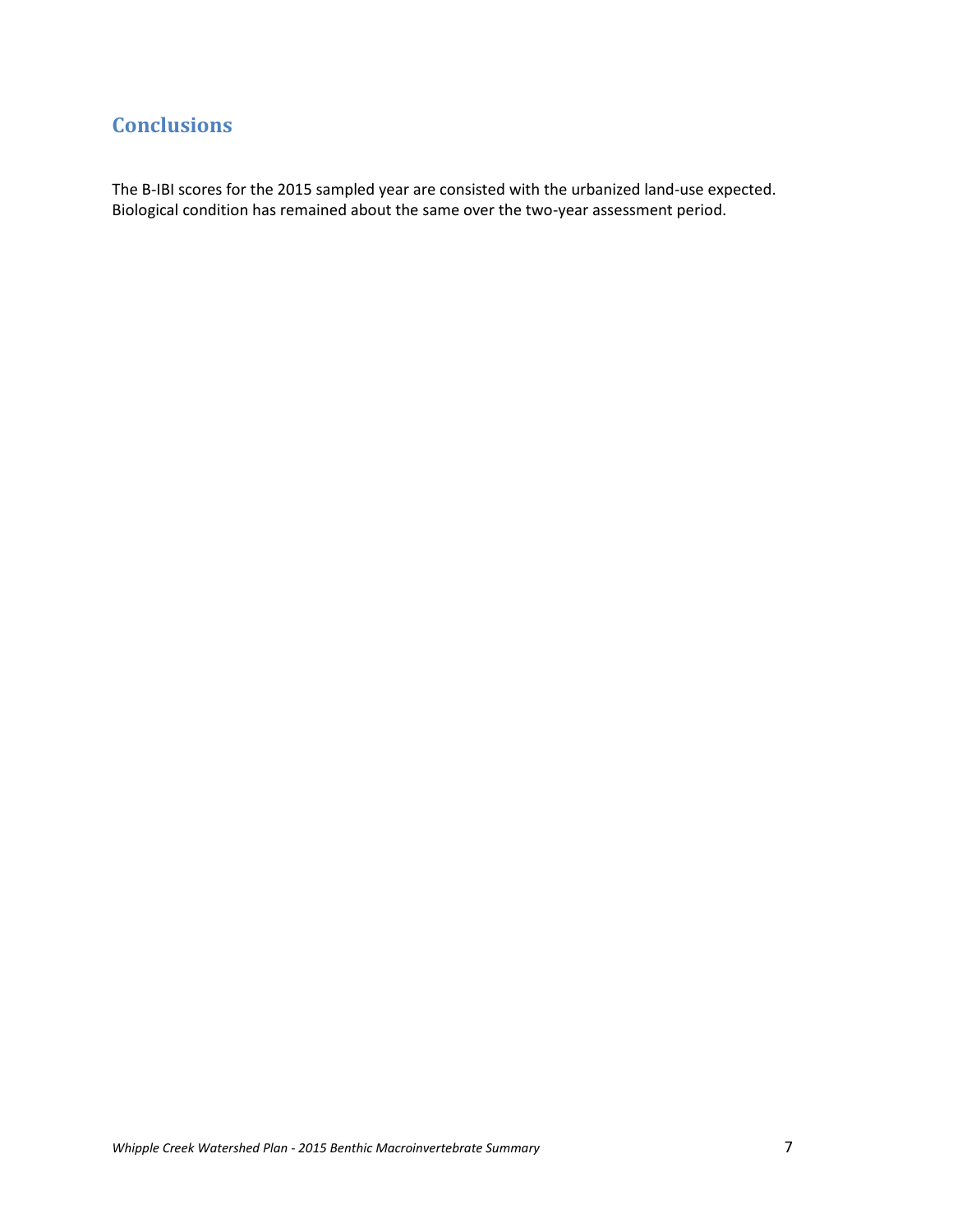# **Conclusions**

The B-IBI scores for the 2015 sampled year are consisted with the urbanized land-use expected. Biological condition has remained about the same over the two-year assessment period.